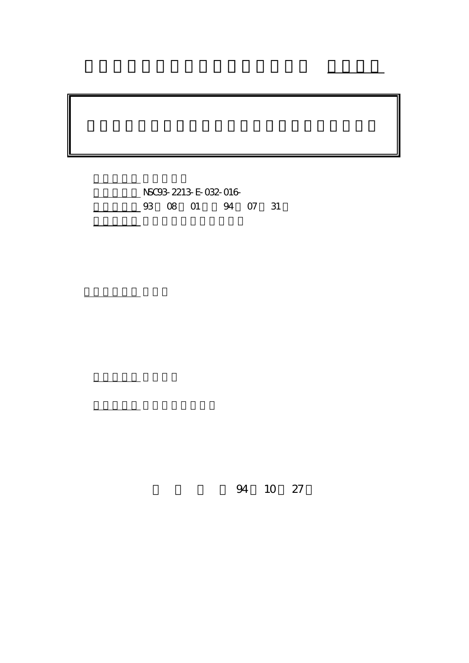NSC93-2213-E-032-016-4 07 31

計畫主持人: 陳伯榮

報告類型: 精簡報告

。<br>在前書 : 本計畫可公開查

行政院國家科學委員會專題研究計畫 成果報告

94 10 27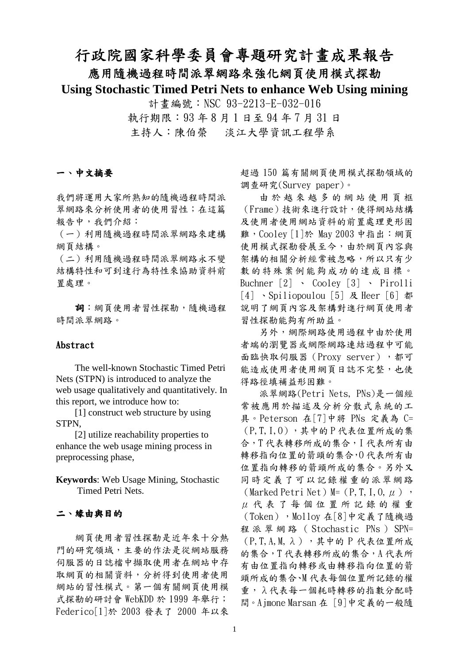# 行政院國家科學委員會專題研究計畫成果報告

### 應用隨機過程時間派翠網路來強化網頁使用模式探勘

**Using Stochastic Timed Petri Nets to enhance Web Using mining**

計畫編號:NSC 93-2213-E-032-016 執行期限:93 年 8 月 1 日至 94 年 7 月 31 日 主持人:陳伯榮 淡江大學資訊工程學系

#### 一、中文摘要

我們將運用大家所熟知的隨機過程時間派 翠網路來分析使用者的使用習性;在這篇 報告中,我們介紹:

(一)利用隨機過程時間派翠網路來建構 網頁結構。

(二)利用隨機過程時間派翠網路永不變 結構特性和可到達行為特性來協助資料前 置處理。

詞:網頁使用者習性探勘,隨機過程 時間派翠網路。

#### Abstract

The well-known Stochastic Timed Petri Nets (STPN) is introduced to analyze the web usage qualitatively and quantitatively. In this report, we introduce how to:

[1] construct web structure by using STPN,

[2] utilize reachability properties to enhance the web usage mining process in preprocessing phase,

**Keywords**: Web Usage Mining, Stochastic Timed Petri Nets.

#### 二、緣由與目的

網頁使用者習性探勘是近年來十分熱 門的研究領域,主要的作法是從網站服務 伺服器的日誌檔中擷取使用者在網站中存 取網頁的相關資料,分析得到使用者使用 網站的習性模式。第一個有關網頁使用模 式探勘的研討會 WebKDD 於 1999 年舉行; Federico[1]於 2003 發表了 2000 年以來 超過 150 篇有關網頁使用模式探勘領域的 調查研究(Survey paper)。

由 於 越 來 越 多 的 網 站 使 用 頁 框 (Frame)技術來進行設計,使得網站結構 及使用者使用網站資料的前置處理更形困 難,Cooley [1]於 May 2003 中指出:網頁 使用模式探勘發展至今,由於網頁內容與 架構的相關分析經常被忽略,所以只有少 數的特殊案例能夠成功的達成目標。 Buchner [2] 、 Cooley [3] 、 Pirolli [4] 、Spiliopoulou [5] 及 Heer [6] 都 說明了網頁內容及架構對進行網頁使用者 習性探勘能夠有所助益。

另外,網際網路使用過程中由於使用 者端的瀏覽器或網際網路連結過程中可能 面臨快取伺服器(Proxy server),都可 能造成使用者使用網頁日誌不完整,也使 得路徑填補益形困難。

派翠網路(Petri Nets, PNs)是一個經 常被應用於描述及分析分散式系統的工 具。Peterson 在[7]中將 PNs 定義為 C= (P,T,I,O),其中的 P 代表位置所成的集 合,T 代表轉移所成的集合,I 代表所有由 轉移指向位置的箭頭的集合,O 代表所有由 位置指向轉移的箭頭所成的集合。另外又 同時定義了可以記錄權重的派翠網路 (Marked Petri Net) M= (P, T, I, O,  $\mu$ ), μ 代 表 了 每 個 位 置 所 記 錄 的 權 重 (Token),Molloy 在[8]中定義了隨機過 程 派 翠 網 路 ( Stochastic PNs ) SPN= (P,T,A,M,λ),其中的 P 代表位置所成 的集合,T代表轉移所成的集合,A代表所 有由位置指向轉移或由轉移指向位置的箭 頭所成的集合、M 代表每個位置所記錄的權 重,λ代表每一個耗時轉移的指數分配時 間。Ajmone Marsan 在 [9]中定義的一般隨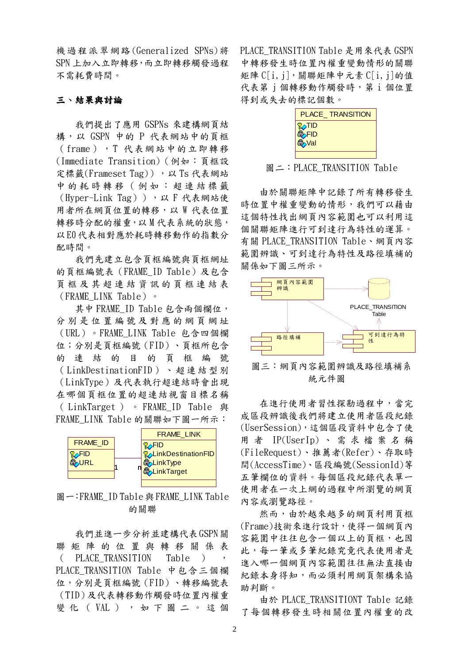機過程派翠網路(Generalized SPNs)將 SPN 上加入立即轉移,而立即轉移觸發過程 不需耗費時間。

#### 三、結果與討論

我們提出了應用 GSPNs 來建構網頁結 構,以 GSPN 中的 P 代表網站中的頁框 (frame),T 代表網站中的立即轉移 (Immediate Transition)(例如:頁框設 定標籤(Frameset Tag)), 以 Ts 代表網站 中 的 耗 時 轉 移 ( 例 如 : 超 連 結 標 籤 (Hyper-Link Tag)),以 F 代表網站使 用者所在網頁位置的轉移,以 W 代表位置 轉移時分配的權重,以 M 代表系統的狀態, 以E0代表相對應於耗時轉移動作的指數分 配時間。

我們先建立包含頁框編號與頁框網址 的頁框編號表(FRAME\_ID Table)及包含 頁 框 及 其 超 連 結 資 訊 的 頁 框 連 結 表 (FRAME\_LINK Table)。

其中 FRAME ID Table 包含兩個欄位, 分別是位置編號及對應的網頁網址 (URL)。FRAME\_LINK Table 包含四個欄 位;分別是頁框編號(FID)、頁框所包含 的 連 結 的 目 的 頁 框 編 號 ( LinkDestinationFID )、超連結型別 (LinkType)及代表執行超連結時會出現 在哪個頁框位置的超連結視窗目標名稱 ( LinkTarget ) 。 FRAME\_ID Table 與 FRAME\_LINK Table 的關聯如下圖一所示:



圖一:FRAME\_ID Table 與 FRAME\_LINK Table 的關聯

我們並進ㄧ步分析並建構代表GSPN關 聯 矩 陣 的 位 置 與 轉 移 關 係 表 ( PLACE\_TRANSITION Table ) , PLACE\_TRANSITION Table 中包含三個欄 位,分別是頁框編號(FID)、轉移編號表 (TID)及代表轉移動作觸發時位置內權重 變 化 ( VAL ) , 如 下 圖 二 。 這 個 PLACE\_TRANSITION Table 是用來代表 GSPN 中轉移發生時位置內權重變動情形的關聯 矩陣 $Cl[i, j]$ ,關聯矩陣中元素 $Cl[i, j]$ 的值 代表第 j 個轉移動作觸發時, 第 i 個位置 得到或失去的標記個數。



圖二: PLACE TRANSITION Table

由於關聯矩陣中記錄了所有轉移發生 時位置中權重變動的情形,我們可以藉由 這個特性找出網頁內容範圍也可以利用這 個關聯矩陣進行可到達行為特性的運算。 有關 PLACE\_TRANSITION Table、網頁內容 範圍辨識、可到達行為特性及路徑填補的 關係如下圖三所示。



統元件圖

在進行使用者習性探勘過程中,當完 成區段辨識後我們將建立使用者區段紀錄 (UserSession),這個區段資料中包含了使 用 者 IP(UserIp) 、 需 求 檔 案 名 稱 (FileRequest)、推薦者(Refer)、存取時 間(AccessTime)、區段編號(SessionId)等 五筆欄位的資料。每個區段紀錄代表單一 使用者在一次上網的過程中所瀏覽的網頁 內容或瀏覽路徑。

然而,由於越來越多的網頁利用頁框 (Frame)技術來進行設計,使得一個網頁內 容範圍中往往包含一個以上的頁框,也因 此,每一筆或多筆紀錄究竟代表使用者是 進入哪一個網頁內容範圍往往無法直接由 紀錄本身得知,而必須利用網頁架構來協 助判斷。

由於 PLACE\_TRANSITIONT Table 記錄 了每個轉移發生時相關位置內權重的改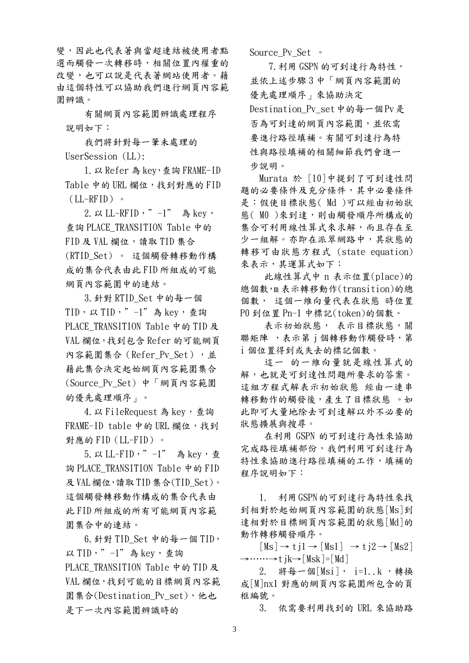變,因此也代表著與當超連結被使用者點 選而觸發一次轉移時,相關位置內權重的 改變,也可以說是代表著網站使用者。藉 由這個特性可以協助我們進行網頁內容範 圍辨識。

有關網頁內容範圍辨識處理程序 說明如下:

我們將針對每一筆未處理的 UserSession (LL):

1.以 Refer 為 key,查詢 FRAME-ID Table 中的 URL 欄位,找到對應的 FID  $(LL-RFID)$  .

 $2. \nu$  LL-RFID,  $" -1"$  為 key, 查詢 PLACE\_TRANSITION Table 中的 FID 及 VAL 欄位,讀取 TID 集合 (RTID\_Set) 。 這個觸發轉移動作構 成的集合代表由此 FID 所組成的可能 網頁內容範圍中的連結。

3.針對 RTID\_Set 中的每一個  $TID, \cup TID, " -1"$ 為 key,查詢 PLACE TRANSITION Table 中的 TID 及 VAL 欄位,找到包含 Refer 的可能網頁 內容範圍集合(Refer Pv Set),並 藉此集合決定起始網頁內容範圍集合 (Source\_Pv\_Set) 中「網頁內容範圍 的優先處理順序」。

4. 以 FileRequest 為 key, 查詢 FRAME-ID table 中的 URL 欄位, 找到 對應的 FID(LL-FID)。

5. 以 LL-FID, "-1" 為 key, 杳 詢 PLACE\_TRANSITION Table 中的 FID 及VAL欄位,讀取 TID 集合(TID\_Set)。 這個觸發轉移動作構成的集合代表由 此 FID 所組成的所有可能網頁內容範 圍集合中的連結。

 $6.$  針對 TID Set 中的每一個 TID, 以 TID, " -1"為 key, 查詢 PLACE TRANSITION Table 中的 TID 及 VAL 欄位,找到可能的目標網頁內容範 圍集合(Destination\_Pv\_set),他也 是下一次內容範圍辨識時的

Source Pv Set 。

7.利用 GSPN 的可到達行為特性, 並依上述步驟 3 中「網頁內容範圍的 優先處理順序」來協助決定 Destination Pv\_set中的每一個Pv是 否為可到達的網頁內容範圍,並依需 要進行路徑填補。有關可到達行為特 性與路徑填補的相關細節我們會進一 步說明。

Murata 於 [10]中提到了可到達性問 題的必要條件及充分條件,其中必要條件 是:假使目標狀態( Md )可以經由初始狀 態(M0)來到達,則由觸發順序所構成的 集合可利用線性算式來求解,而且存在至 少一組解。亦即在派翠網路中,其狀態的 轉移可由狀態方程式 (state equation) 來表示,其運算式如下:

此線性算式中 n 表示位置(place)的 總個數,m 表示轉移動作(transition)的總 個數, 這個一維向量代表在狀態 時位置 P0 到位置 Pn-1 中標記(token)的個數。

表示初始狀態, 表示目標狀態,關 聯矩陣,表示第 j 個轉移動作觸發時, 第 i 個位置得到或失去的標記個數。

這一 的一維向量就是線性算式的 解,也就是可到達性問題所要求的答案。 這組方程式解表示初始狀態 經由一連串 轉移動作的觸發後,產生了目標狀態 。如 此即可大量地除去可到達解以外不必要的 狀態擴展與搜尋。

在利用 GSPN 的可到達行為性來協助 完成路徑填補部份,我們利用可到達行為 特性來協助進行路徑填補的工作,填補的 程序說明如下:

1. 利用GSPN的可到達行為特性來找 到相對於起始網頁內容範圍的狀態[Ms]到 達相對於目標網頁內容範圍的狀態[Md]的 動作轉移觸發順序。

 $[Ms] \rightarrow t i1 \rightarrow [Ms1] \rightarrow t i2 \rightarrow [Ms2]$  $\rightarrow \cdots \rightarrow t$  ik $\rightarrow$ [Msk]=[Md]

2. 將每一個[Msi], i=1..k ,轉換 成[M]nx1 對應的網頁內容範圍所包含的頁 框編號。

3. 依需要利用找到的 URL 來協助路